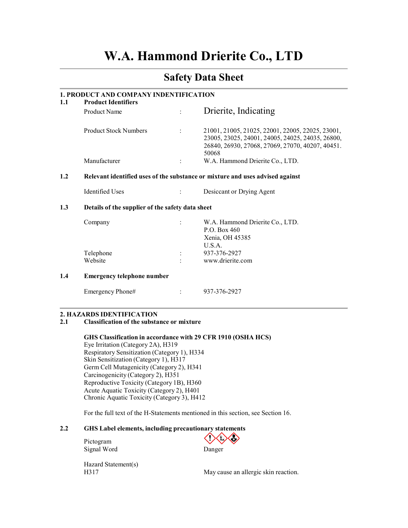# W.A. Hammond Drierite Co., LTD

# Safety Data Sheet

# 1. PRODUCT AND COMPANY INDENTIFICATION

| 1.1 | <b>Product Identifiers</b>   |                      |                                                                                                                                                                   |
|-----|------------------------------|----------------------|-------------------------------------------------------------------------------------------------------------------------------------------------------------------|
|     | Product Name                 |                      | Drierite, Indicating                                                                                                                                              |
|     | <b>Product Stock Numbers</b> | $\ddot{\phantom{a}}$ | 21001, 21005, 21025, 22001, 22005, 22025, 23001,<br>23005, 23025, 24001, 24005, 24025, 24035, 26800,<br>26840, 26930, 27068, 27069, 27070, 40207, 40451.<br>50068 |
|     | Manufacturer                 | ÷                    | W.A. Hammond Drierite Co., LTD.                                                                                                                                   |
|     |                              |                      | Delayant identified uses of the substance or mixture and uses advised against                                                                                     |

# 1.2 Relevant identified uses of the substance or mixture and uses advised against

Identified Uses : Desiccant or Drying Agent

### 1.3 Details of the supplier of the safety data sheet

| Company   | $\ddot{\phantom{a}}$ | W.A. Hammond Drierite Co., LTD. |
|-----------|----------------------|---------------------------------|
|           |                      | P.O. Box 460                    |
|           |                      | Xenia, OH 45385                 |
|           |                      | U.S.A.                          |
| Telephone | $\bullet$            | 937-376-2927                    |
| Website   | $\ddot{\phantom{0}}$ | www.drierite.com                |
|           |                      |                                 |

#### 1.4 Emergency telephone number

Emergency Phone# : 937-376-2927

#### 2. HAZARDS IDENTIFICATION

#### 2.1 Classification of the substance or mixture

GHS Classification in accordance with 29 CFR 1910 (OSHA HCS)

Eye Irritation (Category 2A), H319 Respiratory Sensitization (Category 1), H334 Skin Sensitization (Category 1), H317 Germ Cell Mutagenicity (Category 2), H341 Carcinogenicity (Category 2), H351 Reproductive Toxicity (Category 1B), H360 Acute Aquatic Toxicity (Category 2), H401 Chronic Aquatic Toxicity (Category 3), H412

For the full text of the H-Statements mentioned in this section, see Section 16.

# 2.2 GHS Label elements, including precautionary statements

Pictogram Signal Word Danger

Hazard Statement(s)

H317 May cause an allergic skin reaction.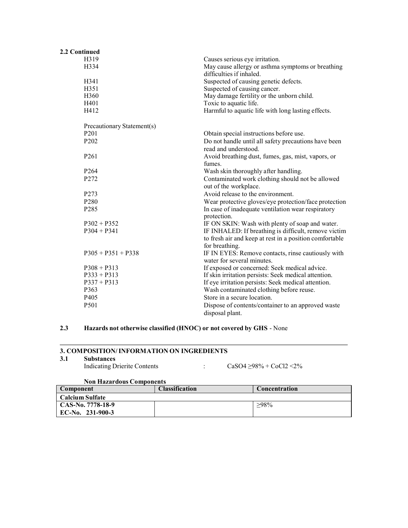| 2.2 Continued              |                                                                               |
|----------------------------|-------------------------------------------------------------------------------|
| H319                       | Causes serious eye irritation.                                                |
| H334                       | May cause allergy or asthma symptoms or breathing<br>difficulties if inhaled. |
| H341                       | Suspected of causing genetic defects.                                         |
| H351                       | Suspected of causing cancer.                                                  |
| H360                       | May damage fertility or the unborn child.                                     |
| H401                       | Toxic to aquatic life.                                                        |
| H412                       | Harmful to aquatic life with long lasting effects.                            |
| Precautionary Statement(s) |                                                                               |
| P <sub>201</sub>           | Obtain special instructions before use.                                       |
| P202                       | Do not handle until all safety precautions have been<br>read and understood.  |
| P <sub>261</sub>           | Avoid breathing dust, fumes, gas, mist, vapors, or<br>fumes.                  |
| P <sub>264</sub>           | Wash skin thoroughly after handling.                                          |
| P272                       | Contaminated work clothing should not be allowed<br>out of the workplace.     |
| P273                       | Avoid release to the environment.                                             |
| P <sub>280</sub>           | Wear protective gloves/eye protection/face protection                         |
| P285                       | In case of inadequate ventilation wear respiratory<br>protection.             |
| $P302 + P352$              | IF ON SKIN: Wash with plenty of soap and water.                               |
| $P304 + P341$              | IF INHALED: If breathing is difficult, remove victim                          |
|                            | to fresh air and keep at rest in a position comfortable<br>for breathing.     |
| $P305 + P351 + P338$       | IF IN EYES: Remove contacts, rinse cautiously with                            |
|                            | water for several minutes.                                                    |
| $P308 + P313$              | If exposed or concerned: Seek medical advice.                                 |
| $P333 + P313$              | If skin irritation persists: Seek medical attention.                          |
| $P337 + P313$              | If eye irritation persists: Seek medical attention.                           |
| P363                       | Wash contaminated clothing before reuse.                                      |
| P405                       | Store in a secure location.                                                   |
| P501                       | Dispose of contents/container to an approved waste                            |
|                            | disposal plant.                                                               |

# 2.3 Hazards not otherwise classified (HNOC) or not covered by GHS - None

# 3. COMPOSITION/INFORMATION ON INGREDIENTS<br>3.1 Substances

### **Substances**

| <b>Indicating Drierite Contents</b> | $CaSO4 > 98\% + CoCl2 < 2\%$ |
|-------------------------------------|------------------------------|
|                                     |                              |

### Non Hazardous Components

| Component              | <b>Classification</b> | Concentration |
|------------------------|-----------------------|---------------|
| <b>Calcium Sulfate</b> |                       |               |
| CAS-No. 7778-18-9      |                       | $>98\%$       |
| $EC-No.$ 231-900-3     |                       |               |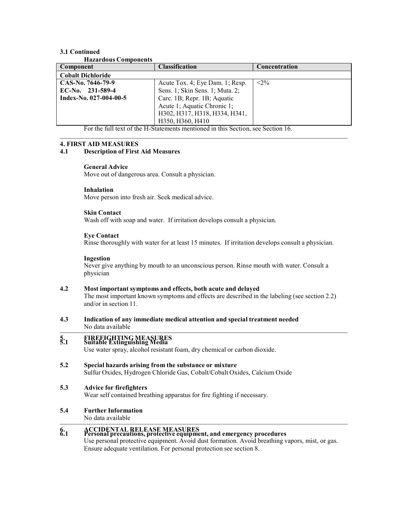#### 3.1 Continued Hazardous Components

| <b>Hazal dous Components</b>                         |                                 |               |  |  |  |
|------------------------------------------------------|---------------------------------|---------------|--|--|--|
| Component                                            | <b>Classification</b>           | Concentration |  |  |  |
| <b>Cobalt Dichloride</b>                             |                                 |               |  |  |  |
| CAS-No. 7646-79-9                                    | Acute Tox. 4; Eye Dam. 1; Resp. | $< 2\%$       |  |  |  |
| $EC-N0$ . 231-589-4                                  | Sens. 1; Skin Sens. 1; Muta. 2; |               |  |  |  |
| Index-No. 027-004-00-5                               | Carc. 1B; Repr. 1B; Aquatic     |               |  |  |  |
|                                                      | Acute 1; Aquatic Chronic 1;     |               |  |  |  |
|                                                      | H302, H317, H318, H334, H341,   |               |  |  |  |
|                                                      | H350, H360, H410                |               |  |  |  |
| $\overline{a}$ and $\overline{a}$ and $\overline{a}$ |                                 | __________    |  |  |  |

For the full text of the H-Statements mentioned in this Section, see Section 16.

#### 4. FIRST AID MEASURES

# 4.1 Description of First Aid Measures

#### General Advice

Move out of dangerous area. Consult a physician.

#### Inhalation

Move person into fresh air. Seek medical advice.

#### Skin Contact

Wash off with soap and water. If irritation develops consult a physician.

#### Eye Contact

Rinse thoroughly with water for at least 15 minutes. If irritation develops consult a physician.

#### Ingestion

Never give anything by mouth to an unconscious person. Rinse mouth with water. Consult a physician

#### 4.2 Most important symptoms and effects, both acute and delayed

The most important known symptoms and effects are described in the labeling (see section 2.2) and/or in section 11.

4.3 Indication of any immediate medical attention and special treatment needed No data available

# 5. FIREFIGHTING MEASURES 5.1 Suitable Extinguishing Media

Use water spray, alcohol resistant foam, dry chemical or carbon dioxide.

- 5.2 Special hazards arising from the substance or mixture Sulfur Oxides, Hydrogen Chloride Gas, Cobalt/Cobalt Oxides, Calcium Oxide
- 5.3 Advice for firefighters Wear self contained breathing apparatus for fire fighting if necessary.
- 5.4 Further Information

No data available

# 6. ACCIDENTAL RELEASE MEASURES 6.1 Personal precautions, protective equipment, and emergency procedures

Use personal protective equipment. Avoid dust formation. Avoid breathing vapors, mist, or gas. Ensure adequate ventilation. For personal protection see section 8.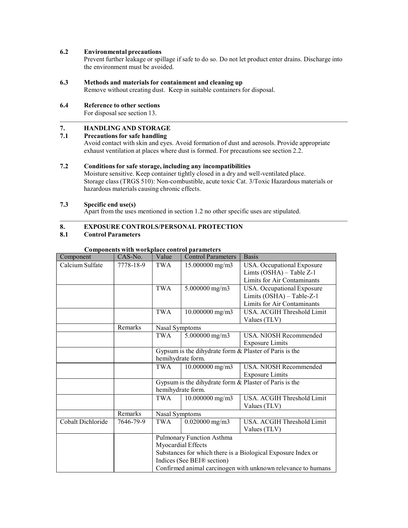# 6.2 Environmental precautions

Prevent further leakage or spillage if safe to do so. Do not let product enter drains. Discharge into the environment must be avoided.

# 6.3 Methods and materials for containment and cleaning up

Remove without creating dust. Keep in suitable containers for disposal.

#### 6.4 Reference to other sections

For disposal see section 13.

# 7. HANDLING AND STORAGE

### 7.1 Precautions for safe handling

Avoid contact with skin and eyes. Avoid formation of dust and aerosols. Provide appropriate exhaust ventilation at places where dust is formed. For precautions see section 2.2.

# 7.2 Conditions for safe storage, including any incompatibilities

Moisture sensitive. Keep container tightly closed in a dry and well-ventilated place. Storage class (TRGS 510): Non-combustible, acute toxic Cat. 3/Toxic Hazardous materials or hazardous materials causing chronic effects.

#### 7.3 Specific end use(s)

Apart from the uses mentioned in section 1.2 no other specific uses are stipulated.

### 8. EXPOSURE CONTROLS/PERSONAL PROTECTION

#### 8.1 Control Parameters

| Component         | $CAS-N0$ . | Value                                                        | Components with workplace control parameters<br><b>Control Parameters</b> | <b>Basis</b>                                           |
|-------------------|------------|--------------------------------------------------------------|---------------------------------------------------------------------------|--------------------------------------------------------|
| Calcium Sulfate   | 7778-18-9  | TWA                                                          | $15.000000$ mg/m3                                                         | USA. Occupational Exposure                             |
|                   |            |                                                              |                                                                           | Limts (OSHA) - Table Z-1                               |
|                   |            |                                                              |                                                                           | Limits for Air Contaminants                            |
|                   |            | <b>TWA</b>                                                   | 5.000000 mg/m3                                                            | USA. Occupational Exposure                             |
|                   |            |                                                              |                                                                           | Limits (OSHA) - Table-Z-1                              |
|                   |            |                                                              |                                                                           | Limits for Air Contaminants                            |
|                   |            | <b>TWA</b>                                                   | $10.000000$ mg/m3                                                         | USA. ACGIH Threshold Limit                             |
|                   |            |                                                              |                                                                           | Values (TLV)                                           |
|                   | Remarks    | Nasal Symptoms                                               |                                                                           |                                                        |
|                   |            | $5.000000$ mg/m3<br>TWA                                      |                                                                           | USA. NIOSH Recommended                                 |
|                   |            |                                                              |                                                                           | <b>Exposure Limits</b>                                 |
|                   |            |                                                              |                                                                           | Gypsum is the dihydrate form & Plaster of Paris is the |
|                   |            | hemihydrate form.                                            |                                                                           |                                                        |
|                   |            | TWA                                                          | $10.000000$ mg/m3                                                         | USA. NIOSH Recommended                                 |
|                   |            |                                                              |                                                                           | <b>Exposure Limits</b>                                 |
|                   |            |                                                              |                                                                           | Gypsum is the dihydrate form & Plaster of Paris is the |
|                   |            | hemihydrate form.                                            |                                                                           |                                                        |
|                   |            | <b>TWA</b><br>$10.000000$ mg/m3                              |                                                                           | USA. ACGIH Threshold Limit                             |
|                   |            |                                                              |                                                                           | Values (TLV)                                           |
|                   | Remarks    | Nasal Symptoms                                               |                                                                           |                                                        |
| Cobalt Dichloride | 7646-79-9  | TWA                                                          | $0.020000$ mg/m3                                                          | USA. ACGIH Threshold Limit                             |
|                   |            |                                                              |                                                                           | Values (TLV)                                           |
|                   |            | Pulmonary Function Asthma                                    |                                                                           |                                                        |
|                   |            | Myocardial Effects                                           |                                                                           |                                                        |
|                   |            | Substances for which there is a Biological Exposure Index or |                                                                           |                                                        |
|                   |            | Indices (See BEI® section)                                   |                                                                           |                                                        |
|                   |            | Confirmed animal carcinogen with unknown relevance to humans |                                                                           |                                                        |

# Components with workplace control parameters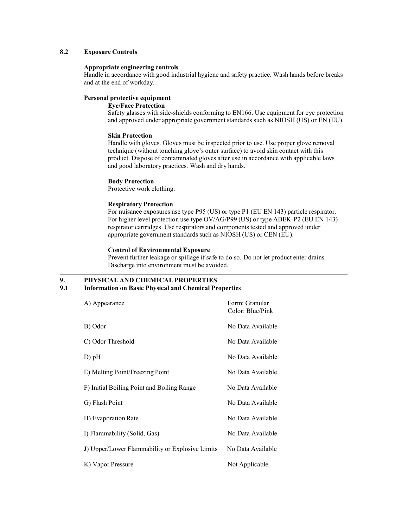### 8.2 Exposure Controls

#### Appropriate engineering controls

Handle in accordance with good industrial hygiene and safety practice. Wash hands before breaks and at the end of workday.

#### Personal protective equipment

Eye/Face Protection

Safety glasses with side-shields conforming to EN166. Use equipment for eye protection and approved under appropriate government standards such as NIOSH (US) or EN (EU).

# Skin Protection

Handle with gloves. Gloves must be inspected prior to use. Use proper glove removal technique (without touching glove's outer surface) to avoid skin contact with this product. Dispose of contaminated gloves after use in accordance with applicable laws and good laboratory practices. Wash and dry hands.

#### Body Protection

Protective work clothing.

#### Respiratory Protection

For nuisance exposures use type P95 (US) or type P1 (EU EN 143) particle respirator. For higher level protection use type OV/AG/P99 (US) or type ABEK-P2 (EU EN 143) respirator cartridges. Use respirators and components tested and approved under appropriate government standards such as NIOSH (US) or CEN (EU).

#### Control of Environmental Exposure

Prevent further leakage or spillage if safe to do so. Do not let product enter drains. Discharge into environment must be avoided.

# 9. PHYSICAL AND CHEMICAL PROPERTIES

# 9.1 Information on Basic Physical and Chemical Properties

| A) Appearance                                   | Form: Granular<br>Color: Blue/Pink |
|-------------------------------------------------|------------------------------------|
| B) Odor                                         | No Data Available                  |
| C) Odor Threshold                               | No Data Available                  |
| $D)$ pH                                         | No Data Available                  |
| E) Melting Point/Freezing Point                 | No Data Available                  |
| F) Initial Boiling Point and Boiling Range      | No Data Available                  |
| G) Flash Point                                  | No Data Available                  |
| H) Evaporation Rate                             | No Data Available                  |
| I) Flammability (Solid, Gas)                    | No Data Available                  |
| J) Upper/Lower Flammability or Explosive Limits | No Data Available                  |
| K) Vapor Pressure                               | Not Applicable                     |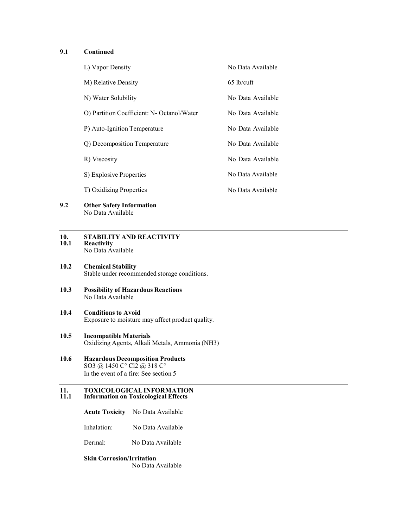# 9.1 Continued

| L) Vapor Density                           | No Data Available |
|--------------------------------------------|-------------------|
| M) Relative Density                        | $65$ lb/cuft      |
| N) Water Solubility                        | No Data Available |
| O) Partition Coefficient: N- Octanol/Water | No Data Available |
| P) Auto-Ignition Temperature               | No Data Available |
| Q) Decomposition Temperature               | No Data Available |
| R) Viscosity                               | No Data Available |
| S) Explosive Properties                    | No Data Available |
| T) Oxidizing Properties                    | No Data Available |
|                                            |                   |

9.2 Other Safety Information No Data Available

#### 10. STABILITY AND REACTIVITY<br>10.1 Reactivity Reactivity No Data Available

- 10.2 Chemical Stability Stable under recommended storage conditions.
- 10.3 Possibility of Hazardous Reactions No Data Available
- 10.4 Conditions to Avoid Exposure to moisture may affect product quality.

# 10.5 Incompatible Materials Oxidizing Agents, Alkali Metals, Ammonia (NH3)

10.6 Hazardous Decomposition Products SO3 @ 1450 C° Cl2 @ 318 C° In the event of a fire: See section 5

#### 11. TOXICOLOGICAL INFORMATION<br>11.1 Information on Toxicological Effects 11.1 Information on Toxicological Effects

|  | <b>Acute Toxicity</b> |  |  | No Data Available |
|--|-----------------------|--|--|-------------------|
|--|-----------------------|--|--|-------------------|

Inhalation: No Data Available

Dermal: No Data Available

# Skin Corrosion/Irritation

No Data Available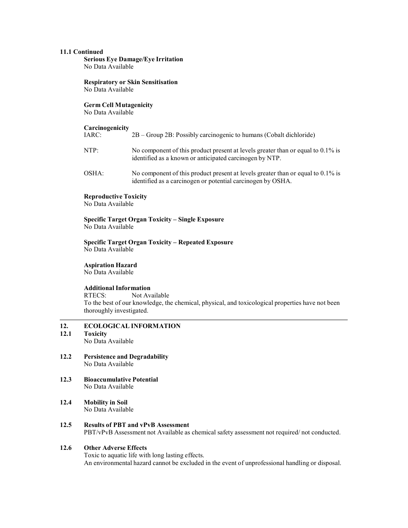#### 11.1 Continued

Serious Eye Damage/Eye Irritation No Data Available

Respiratory or Skin Sensitisation No Data Available

#### Germ Cell Mutagenicity

No Data Available

# **Carcinogenicity**

| IARC: | $2B -$ Group 2B: Possibly carcinogenic to humans (Cobalt dichloride)                                                                       |
|-------|--------------------------------------------------------------------------------------------------------------------------------------------|
| NTP:  | No component of this product present at levels greater than or equal to 0.1% is<br>identified as a known or anticipated carcinogen by NTP. |
| OSHA: | No component of this product present at levels greater than or equal to 0.1% is                                                            |

identified as a carcinogen or potential carcinogen by OSHA.

#### Reproductive Toxicity

No Data Available

#### Specific Target Organ Toxicity – Single Exposure No Data Available

#### Specific Target Organ Toxicity – Repeated Exposure No Data Available

# Aspiration Hazard

No Data Available

#### Additional Information

RTECS: Not Available To the best of our knowledge, the chemical, physical, and toxicological properties have not been thoroughly investigated.

# 12. ECOLOGICAL INFORMATION<br>12.1 Toxicity

# **Toxicity**

No Data Available

- 12.2 Persistence and Degradability No Data Available
- 12.3 Bioaccumulative Potential No Data Available
- 12.4 Mobility in Soil No Data Available
- 12.5 Results of PBT and vPvB Assessment PBT/vPvB Assessment not Available as chemical safety assessment not required/ not conducted.

# 12.6 Other Adverse Effects

Toxic to aquatic life with long lasting effects. An environmental hazard cannot be excluded in the event of unprofessional handling or disposal.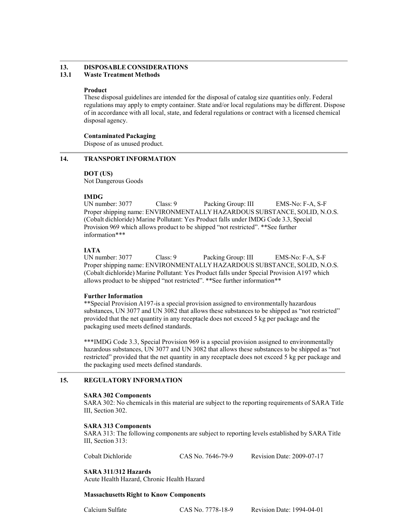#### 13. DISPOSABLE CONSIDERATIONS 13.1 Waste Treatment Methods

#### Product

These disposal guidelines are intended for the disposal of catalog size quantities only. Federal regulations may apply to empty container. State and/or local regulations may be different. Dispose of in accordance with all local, state, and federal regulations or contract with a licensed chemical disposal agency.

### Contaminated Packaging

Dispose of as unused product.

### 14. TRANSPORT INFORMATION

### DOT (US)

Not Dangerous Goods

**IMDG**<br>UN number: 3077 Class: 9 Packing Group: III EMS-No: F-A, S-F Proper shipping name: ENVIRONMENTALLY HAZARDOUS SUBSTANCE, SOLID, N.O.S. (Cobalt dichloride) Marine Pollutant: Yes Product falls under IMDG Code 3.3, Special Provision 969 which allows product to be shipped "not restricted". \*\*See further information\*\*\*

# IATA

UN number: 3077 Class: 9 Packing Group: III EMS-No: F-A, S-F Proper shipping name: ENVIRONMENTALLY HAZARDOUS SUBSTANCE, SOLID, N.O.S. (Cobalt dichloride) Marine Pollutant: Yes Product falls under Special Provision A197 which allows product to be shipped "not restricted". \*\*See further information\*\*

#### Further Information

\*\*Special Provision A197-is a special provision assigned to environmentally hazardous substances, UN 3077 and UN 3082 that allows these substances to be shipped as "not restricted" provided that the net quantity in any receptacle does not exceed 5 kg per package and the packaging used meets defined standards.

\*\*\*IMDG Code 3.3, Special Provision 969 is a special provision assigned to environmentally hazardous substances, UN 3077 and UN 3082 that allows these substances to be shipped as "not restricted" provided that the net quantity in any receptacle does not exceed 5 kg per package and the packaging used meets defined standards.

# 15. REGULATORY INFORMATION

#### SARA 302 Components

SARA 302: No chemicals in this material are subject to the reporting requirements of SARA Title III, Section 302.

#### SARA 313 Components

SARA 313: The following components are subject to reporting levels established by SARA Title III, Section 313:

Cobalt Dichloride CAS No. 7646-79-9 Revision Date: 2009-07-17

# SARA 311/312 Hazards

Acute Health Hazard, Chronic Health Hazard

#### Massachusetts Right to Know Components